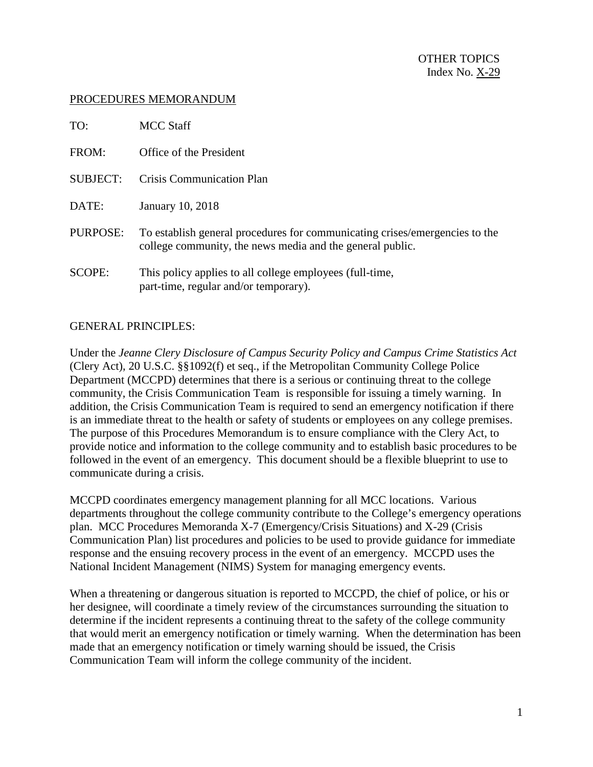#### PROCEDURES MEMORANDUM

| TO:             | <b>MCC</b> Staff                                                                                                                         |
|-----------------|------------------------------------------------------------------------------------------------------------------------------------------|
| FROM:           | Office of the President                                                                                                                  |
| <b>SUBJECT:</b> | Crisis Communication Plan                                                                                                                |
| DATE:           | January 10, 2018                                                                                                                         |
| PURPOSE:        | To establish general procedures for communicating crises/emergencies to the<br>college community, the news media and the general public. |
| SCOPE:          | This policy applies to all college employees (full-time,<br>part-time, regular and/or temporary).                                        |

## GENERAL PRINCIPLES:

Under the *Jeanne Clery Disclosure of Campus Security Policy and Campus Crime Statistics Act* (Clery Act), 20 U.S.C. §§1092(f) et seq., if the Metropolitan Community College Police Department (MCCPD) determines that there is a serious or continuing threat to the college community, the Crisis Communication Team is responsible for issuing a timely warning. In addition, the Crisis Communication Team is required to send an emergency notification if there is an immediate threat to the health or safety of students or employees on any college premises. The purpose of this Procedures Memorandum is to ensure compliance with the Clery Act, to provide notice and information to the college community and to establish basic procedures to be followed in the event of an emergency. This document should be a flexible blueprint to use to communicate during a crisis.

MCCPD coordinates emergency management planning for all MCC locations. Various departments throughout the college community contribute to the College's emergency operations plan. MCC Procedures Memoranda X-7 (Emergency/Crisis Situations) and X-29 (Crisis Communication Plan) list procedures and policies to be used to provide guidance for immediate response and the ensuing recovery process in the event of an emergency. MCCPD uses the National Incident Management (NIMS) System for managing emergency events.

When a threatening or dangerous situation is reported to MCCPD, the chief of police, or his or her designee, will coordinate a timely review of the circumstances surrounding the situation to determine if the incident represents a continuing threat to the safety of the college community that would merit an emergency notification or timely warning. When the determination has been made that an emergency notification or timely warning should be issued, the Crisis Communication Team will inform the college community of the incident.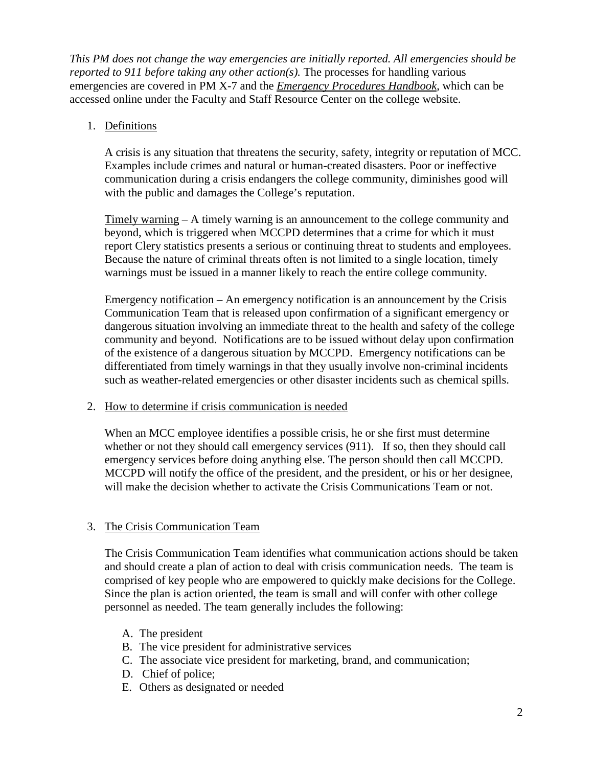*This PM does not change the way emergencies are initially reported. All emergencies should be reported to 911 before taking any other action(s).* The processes for handling various emergencies are covered in PM X-7 and the *Emergency Procedures Handbook*, which can be accessed online under the Faculty and Staff Resource Center on the college website.

## 1. Definitions

A crisis is any situation that threatens the security, safety, integrity or reputation of MCC. Examples include crimes and natural or human-created disasters. Poor or ineffective communication during a crisis endangers the college community, diminishes good will with the public and damages the College's reputation.

Timely warning – A timely warning is an announcement to the college community and beyond, which is triggered when MCCPD determines that a crime for which it must report Clery statistics presents a serious or continuing threat to students and employees. Because the nature of criminal threats often is not limited to a single location, timely warnings must be issued in a manner likely to reach the entire college community.

Emergency notification – An emergency notification is an announcement by the Crisis Communication Team that is released upon confirmation of a significant emergency or dangerous situation involving an immediate threat to the health and safety of the college community and beyond. Notifications are to be issued without delay upon confirmation of the existence of a dangerous situation by MCCPD. Emergency notifications can be differentiated from timely warnings in that they usually involve non-criminal incidents such as weather-related emergencies or other disaster incidents such as chemical spills.

## 2. How to determine if crisis communication is needed

When an MCC employee identifies a possible crisis, he or she first must determine whether or not they should call emergency services (911). If so, then they should call emergency services before doing anything else. The person should then call MCCPD. MCCPD will notify the office of the president, and the president, or his or her designee, will make the decision whether to activate the Crisis Communications Team or not.

# 3. The Crisis Communication Team

The Crisis Communication Team identifies what communication actions should be taken and should create a plan of action to deal with crisis communication needs. The team is comprised of key people who are empowered to quickly make decisions for the College. Since the plan is action oriented, the team is small and will confer with other college personnel as needed. The team generally includes the following:

- A. The president
- B. The vice president for administrative services
- C. The associate vice president for marketing, brand, and communication;
- D. Chief of police;
- E. Others as designated or needed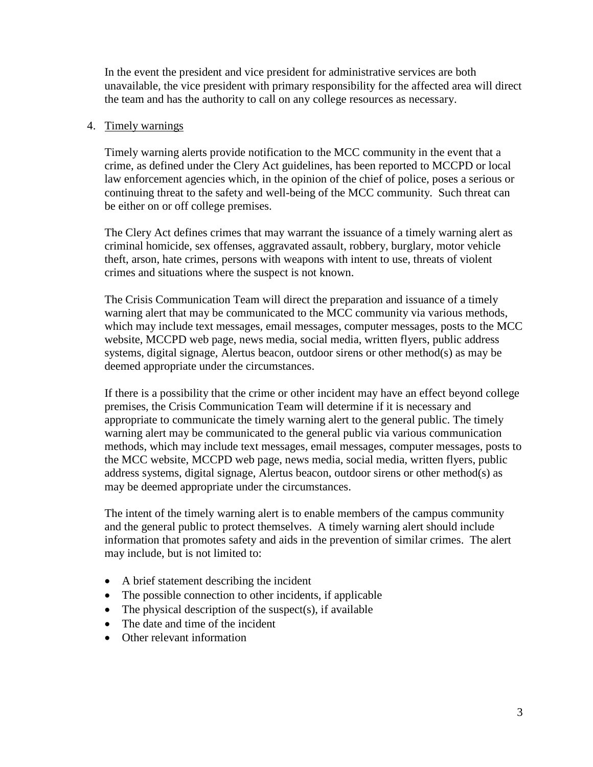In the event the president and vice president for administrative services are both unavailable, the vice president with primary responsibility for the affected area will direct the team and has the authority to call on any college resources as necessary.

#### 4. Timely warnings

Timely warning alerts provide notification to the MCC community in the event that a crime, as defined under the Clery Act guidelines, has been reported to MCCPD or local law enforcement agencies which, in the opinion of the chief of police, poses a serious or continuing threat to the safety and well-being of the MCC community. Such threat can be either on or off college premises.

The Clery Act defines crimes that may warrant the issuance of a timely warning alert as criminal homicide, sex offenses, aggravated assault, robbery, burglary, motor vehicle theft, arson, hate crimes, persons with weapons with intent to use, threats of violent crimes and situations where the suspect is not known.

The Crisis Communication Team will direct the preparation and issuance of a timely warning alert that may be communicated to the MCC community via various methods, which may include text messages, email messages, computer messages, posts to the MCC website, MCCPD web page, news media, social media, written flyers, public address systems, digital signage, Alertus beacon, outdoor sirens or other method(s) as may be deemed appropriate under the circumstances.

If there is a possibility that the crime or other incident may have an effect beyond college premises, the Crisis Communication Team will determine if it is necessary and appropriate to communicate the timely warning alert to the general public. The timely warning alert may be communicated to the general public via various communication methods, which may include text messages, email messages, computer messages, posts to the MCC website, MCCPD web page, news media, social media, written flyers, public address systems, digital signage, Alertus beacon, outdoor sirens or other method(s) as may be deemed appropriate under the circumstances.

The intent of the timely warning alert is to enable members of the campus community and the general public to protect themselves. A timely warning alert should include information that promotes safety and aids in the prevention of similar crimes. The alert may include, but is not limited to:

- A brief statement describing the incident
- The possible connection to other incidents, if applicable
- The physical description of the suspect(s), if available
- The date and time of the incident
- Other relevant information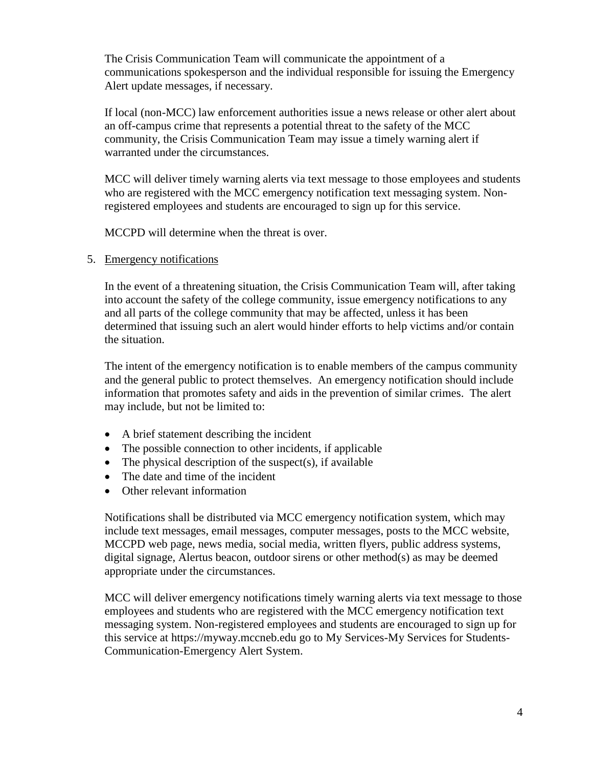The Crisis Communication Team will communicate the appointment of a communications spokesperson and the individual responsible for issuing the Emergency Alert update messages, if necessary.

If local (non-MCC) law enforcement authorities issue a news release or other alert about an off-campus crime that represents a potential threat to the safety of the MCC community, the Crisis Communication Team may issue a timely warning alert if warranted under the circumstances.

MCC will deliver timely warning alerts via text message to those employees and students who are registered with the MCC emergency notification text messaging system. Nonregistered employees and students are encouraged to sign up for this service.

MCCPD will determine when the threat is over.

5. Emergency notifications

In the event of a threatening situation, the Crisis Communication Team will, after taking into account the safety of the college community, issue emergency notifications to any and all parts of the college community that may be affected, unless it has been determined that issuing such an alert would hinder efforts to help victims and/or contain the situation.

The intent of the emergency notification is to enable members of the campus community and the general public to protect themselves. An emergency notification should include information that promotes safety and aids in the prevention of similar crimes. The alert may include, but not be limited to:

- A brief statement describing the incident
- The possible connection to other incidents, if applicable
- The physical description of the suspect(s), if available
- The date and time of the incident
- Other relevant information

Notifications shall be distributed via MCC emergency notification system, which may include text messages, email messages, computer messages, posts to the MCC website, MCCPD web page, news media, social media, written flyers, public address systems, digital signage, Alertus beacon, outdoor sirens or other method(s) as may be deemed appropriate under the circumstances.

MCC will deliver emergency notifications timely warning alerts via text message to those employees and students who are registered with the MCC emergency notification text messaging system. Non-registered employees and students are encouraged to sign up for this service at https://myway.mccneb.edu go to My Services-My Services for Students-Communication-Emergency Alert System.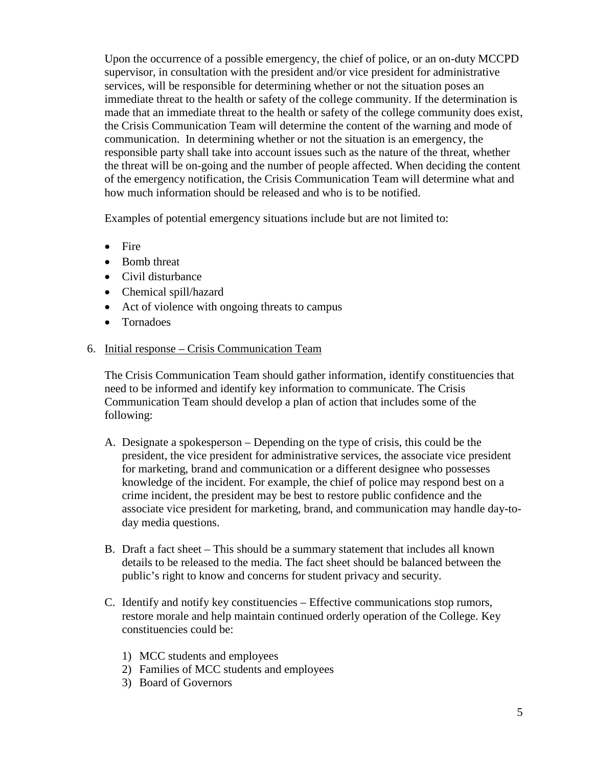Upon the occurrence of a possible emergency, the chief of police, or an on-duty MCCPD supervisor, in consultation with the president and/or vice president for administrative services, will be responsible for determining whether or not the situation poses an immediate threat to the health or safety of the college community. If the determination is made that an immediate threat to the health or safety of the college community does exist, the Crisis Communication Team will determine the content of the warning and mode of communication. In determining whether or not the situation is an emergency, the responsible party shall take into account issues such as the nature of the threat, whether the threat will be on-going and the number of people affected. When deciding the content of the emergency notification, the Crisis Communication Team will determine what and how much information should be released and who is to be notified.

Examples of potential emergency situations include but are not limited to:

- Fire
- Bomb threat
- Civil disturbance
- Chemical spill/hazard
- Act of violence with ongoing threats to campus
- Tornadoes
- 6. Initial response Crisis Communication Team

The Crisis Communication Team should gather information, identify constituencies that need to be informed and identify key information to communicate. The Crisis Communication Team should develop a plan of action that includes some of the following:

- A. Designate a spokesperson Depending on the type of crisis, this could be the president, the vice president for administrative services, the associate vice president for marketing, brand and communication or a different designee who possesses knowledge of the incident. For example, the chief of police may respond best on a crime incident, the president may be best to restore public confidence and the associate vice president for marketing, brand, and communication may handle day-today media questions.
- B. Draft a fact sheet This should be a summary statement that includes all known details to be released to the media. The fact sheet should be balanced between the public's right to know and concerns for student privacy and security.
- C. Identify and notify key constituencies Effective communications stop rumors, restore morale and help maintain continued orderly operation of the College. Key constituencies could be:
	- 1) MCC students and employees
	- 2) Families of MCC students and employees
	- 3) Board of Governors